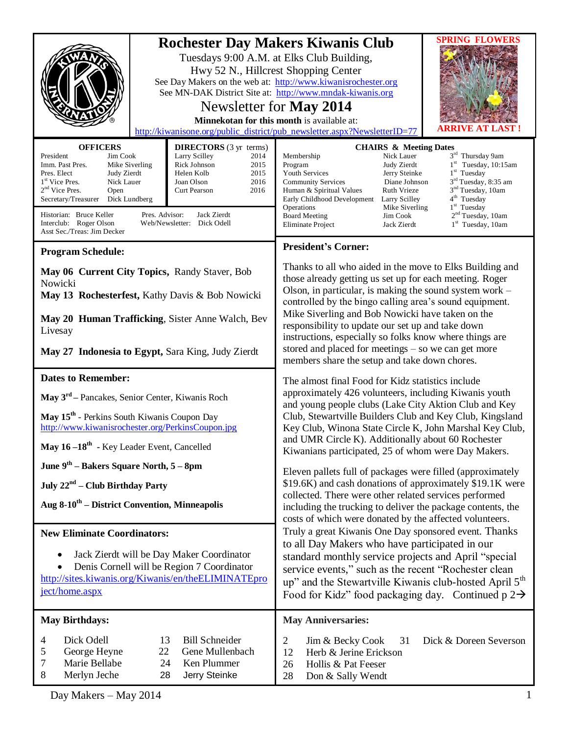|                                                                                                                                                                                                                                                                                                                                   |                                                                                                                                                                                                 | <b>SPRING FLOWERS</b><br><b>Rochester Day Makers Kiwanis Club</b><br>Tuesdays 9:00 A.M. at Elks Club Building,<br>Hwy 52 N., Hillcrest Shopping Center<br>See Day Makers on the web at: http://www.kiwanisrochester.org<br>See MN-DAK District Site at: http://www.mndak-kiwanis.org<br>Newsletter for <b>May 2014</b><br>Minnekotan for this month is available at:<br>VE AT LAST<br>http://kiwanisone.org/public_district/pub_newsletter.aspx?NewsletterID=77                                                                                                                                                                      |  |
|-----------------------------------------------------------------------------------------------------------------------------------------------------------------------------------------------------------------------------------------------------------------------------------------------------------------------------------|-------------------------------------------------------------------------------------------------------------------------------------------------------------------------------------------------|--------------------------------------------------------------------------------------------------------------------------------------------------------------------------------------------------------------------------------------------------------------------------------------------------------------------------------------------------------------------------------------------------------------------------------------------------------------------------------------------------------------------------------------------------------------------------------------------------------------------------------------|--|
| <b>OFFICERS</b><br>President<br>Jim Cook<br>Mike Siverling<br>Imm. Past Pres.<br>Pres. Elect<br>Judy Zierdt<br>1 <sup>st</sup> Vice Pres.<br>Nick Lauer<br>$2nd$ Vice Pres.<br>Open<br>Secretary/Treasurer<br>Dick Lundberg<br>Historian: Bruce Keller<br>Pres. Advisor:<br>Interclub: Roger Olson<br>Asst Sec./Treas: Jim Decker | <b>DIRECTORS</b> (3 yr terms)<br>Larry Scilley<br>2014<br>Rick Johnson<br>2015<br>Helen Kolb<br>2015<br>Joan Olson<br>2016<br>2016<br>Curt Pearson<br>Jack Zierdt<br>Web/Newsletter: Dick Odell | <b>CHAIRS &amp; Meeting Dates</b><br>3rd Thursday 9am<br>Membership<br>Nick Lauer<br>$1st$ Tuesday, 10:15am<br>Program<br>Judy Zierdt<br>$1st$ Tuesday<br>Youth Services<br>Jerry Steinke<br>3 <sup>rd</sup> Tuesday, 8:35 am<br><b>Community Services</b><br>Diane Johnson<br>3 <sup>nd</sup> Tuesday, 10am<br><b>Ruth Vrieze</b><br>Human & Spiritual Values<br>4 <sup>th</sup> Tuesday<br>Early Childhood Development<br>Larry Scilley<br>$1st$ Tuesday<br>Operations<br>Mike Siverling<br>2 <sup>nd</sup> Tuesday, 10am<br><b>Board Meeting</b><br>Jim Cook<br>1 <sup>st</sup> Tuesday, 10am<br>Eliminate Project<br>Jack Zierdt |  |
|                                                                                                                                                                                                                                                                                                                                   |                                                                                                                                                                                                 | <b>President's Corner:</b>                                                                                                                                                                                                                                                                                                                                                                                                                                                                                                                                                                                                           |  |
| <b>Program Schedule:</b><br>May 06 Current City Topics, Randy Staver, Bob<br>Nowicki<br>May 13 Rochesterfest, Kathy Davis & Bob Nowicki<br>May 20 Human Trafficking, Sister Anne Walch, Bev<br>Livesay<br>May 27 Indonesia to Egypt, Sara King, Judy Zierdt                                                                       |                                                                                                                                                                                                 | Thanks to all who aided in the move to Elks Building and<br>those already getting us set up for each meeting. Roger<br>Olson, in particular, is making the sound system work $-$<br>controlled by the bingo calling area's sound equipment.<br>Mike Siverling and Bob Nowicki have taken on the<br>responsibility to update our set up and take down<br>instructions, especially so folks know where things are<br>stored and placed for meetings $-$ so we can get more<br>members share the setup and take down chores.                                                                                                            |  |
| <b>Dates to Remember:</b>                                                                                                                                                                                                                                                                                                         |                                                                                                                                                                                                 | The almost final Food for Kidz statistics include                                                                                                                                                                                                                                                                                                                                                                                                                                                                                                                                                                                    |  |
| May 3 <sup>rd</sup> – Pancakes, Senior Center, Kiwanis Roch<br>May 15 <sup>th</sup> - Perkins South Kiwanis Coupon Day                                                                                                                                                                                                            |                                                                                                                                                                                                 | approximately 426 volunteers, including Kiwanis youth<br>and young people clubs (Lake City Aktion Club and Key                                                                                                                                                                                                                                                                                                                                                                                                                                                                                                                       |  |
| http://www.kiwanisrochester.org/PerkinsCoupon.jpg                                                                                                                                                                                                                                                                                 |                                                                                                                                                                                                 | Club, Stewartville Builders Club and Key Club, Kingsland<br>Key Club, Winona State Circle K, John Marshal Key Club,                                                                                                                                                                                                                                                                                                                                                                                                                                                                                                                  |  |
| May 16-18 <sup>th</sup> - Key Leader Event, Cancelled                                                                                                                                                                                                                                                                             |                                                                                                                                                                                                 | and UMR Circle K). Additionally about 60 Rochester<br>Kiwanians participated, 25 of whom were Day Makers.                                                                                                                                                                                                                                                                                                                                                                                                                                                                                                                            |  |
| June $9th$ – Bakers Square North, $5 - 8$ pm                                                                                                                                                                                                                                                                                      |                                                                                                                                                                                                 | Eleven pallets full of packages were filled (approximately                                                                                                                                                                                                                                                                                                                                                                                                                                                                                                                                                                           |  |
| July $22nd$ – Club Birthday Party                                                                                                                                                                                                                                                                                                 |                                                                                                                                                                                                 | \$19.6K) and cash donations of approximately \$19.1K were<br>collected. There were other related services performed<br>including the trucking to deliver the package contents, the<br>costs of which were donated by the affected volunteers.                                                                                                                                                                                                                                                                                                                                                                                        |  |
| Aug $8-10^{th}$ – District Convention, Minneapolis                                                                                                                                                                                                                                                                                |                                                                                                                                                                                                 |                                                                                                                                                                                                                                                                                                                                                                                                                                                                                                                                                                                                                                      |  |
| <b>New Eliminate Coordinators:</b>                                                                                                                                                                                                                                                                                                |                                                                                                                                                                                                 | Truly a great Kiwanis One Day sponsored event. Thanks                                                                                                                                                                                                                                                                                                                                                                                                                                                                                                                                                                                |  |
| Jack Zierdt will be Day Maker Coordinator<br>Denis Cornell will be Region 7 Coordinator<br>http://sites.kiwanis.org/Kiwanis/en/theELIMINATEpro<br>ject/home.aspx                                                                                                                                                                  |                                                                                                                                                                                                 | to all Day Makers who have participated in our<br>standard monthly service projects and April "special<br>service events," such as the recent "Rochester clean<br>up" and the Stewartville Kiwanis club-hosted April 5 <sup>th</sup><br>Food for Kidz" food packaging day. Continued $p 2 \rightarrow$                                                                                                                                                                                                                                                                                                                               |  |
| <b>May Birthdays:</b>                                                                                                                                                                                                                                                                                                             |                                                                                                                                                                                                 | <b>May Anniversaries:</b>                                                                                                                                                                                                                                                                                                                                                                                                                                                                                                                                                                                                            |  |
| <b>Bill Schneider</b><br>Dick Odell<br>13<br>4<br>George Heyne<br>22<br>Gene Mullenbach<br>5<br>7<br>Marie Bellabe<br>24<br>Ken Plummer<br>Merlyn Jeche<br>8<br>28<br>Jerry Steinke                                                                                                                                               |                                                                                                                                                                                                 | Dick & Doreen Severson<br>2<br>Jim & Becky Cook<br>31<br>Herb & Jerine Erickson<br>12<br>Hollis & Pat Feeser<br>26<br>28<br>Don & Sally Wendt                                                                                                                                                                                                                                                                                                                                                                                                                                                                                        |  |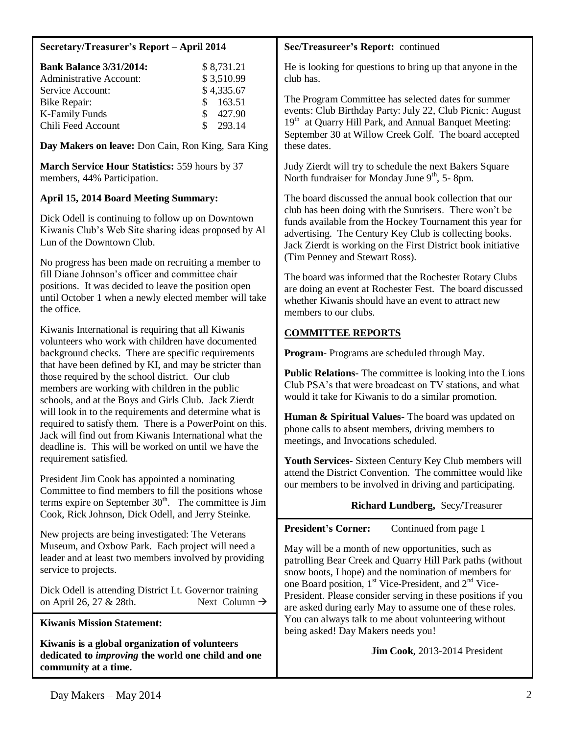# **Secretary/Treasurer's Report – April 2014**

| <b>Bank Balance 3/31/2014:</b> |    | \$8,731.21 |
|--------------------------------|----|------------|
| <b>Administrative Account:</b> |    | \$3,510.99 |
| Service Account:               |    | \$4,335.67 |
| Bike Repair:                   |    | \$163.51   |
| <b>K-Family Funds</b>          | S. | 427.90     |
| Chili Feed Account             | S. | 293.14     |

**Day Makers on leave:** Don Cain, Ron King, Sara King

**March Service Hour Statistics:** 559 hours by 37 members, 44% Participation.

# **April 15, 2014 Board Meeting Summary:**

Dick Odell is continuing to follow up on Downtown Kiwanis Club's Web Site sharing ideas proposed by Al Lun of the Downtown Club.

No progress has been made on recruiting a member to fill Diane Johnson's officer and committee chair positions. It was decided to leave the position open until October 1 when a newly elected member will take the office.

Kiwanis International is requiring that all Kiwanis volunteers who work with children have documented background checks. There are specific requirements that have been defined by KI, and may be stricter than those required by the school district. Our club members are working with children in the public schools, and at the Boys and Girls Club. Jack Zierdt will look in to the requirements and determine what is required to satisfy them. There is a PowerPoint on this. Jack will find out from Kiwanis International what the deadline is. This will be worked on until we have the requirement satisfied.

President Jim Cook has appointed a nominating Committee to find members to fill the positions whose terms expire on September  $30<sup>th</sup>$ . The committee is Jim Cook, Rick Johnson, Dick Odell, and Jerry Steinke.

New projects are being investigated: The Veterans Museum, and Oxbow Park. Each project will need a leader and at least two members involved by providing service to projects.

Dick Odell is attending District Lt. Governor training on April 26, 27 & 28th. Next Column  $\rightarrow$ 

**Kiwanis Mission Statement:**

**Kiwanis is a global organization of volunteers dedicated to** *improving* **the world one child and one community at a time.**

# **Sec/Treasureer's Report:** continued

He is looking for questions to bring up that anyone in the club has.

The Program Committee has selected dates for summer events: Club Birthday Party: July 22, Club Picnic: August 19<sup>th</sup> at Ouarry Hill Park, and Annual Banquet Meeting: September 30 at Willow Creek Golf. The board accepted these dates.

Judy Zierdt will try to schedule the next Bakers Square North fundraiser for Monday June  $9<sup>th</sup>$ , 5- 8pm.

The board discussed the annual book collection that our club has been doing with the Sunrisers. There won't be funds available from the Hockey Tournament this year for advertising. The Century Key Club is collecting books. Jack Zierdt is working on the First District book initiative (Tim Penney and Stewart Ross).

The board was informed that the Rochester Rotary Clubs are doing an event at Rochester Fest. The board discussed whether Kiwanis should have an event to attract new members to our clubs.

# **COMMITTEE REPORTS**

**Program-** Programs are scheduled through May.

**Public Relations-** The committee is looking into the Lions Club PSA's that were broadcast on TV stations, and what would it take for Kiwanis to do a similar promotion.

**Human & Spiritual Values-** The board was updated on phone calls to absent members, driving members to meetings, and Invocations scheduled.

**Youth Services-** Sixteen Century Key Club members will attend the District Convention. The committee would like our members to be involved in driving and participating.

# **Richard Lundberg,** Secy/Treasurer

**President's Corner:** Continued from page 1

May will be a month of new opportunities, such as patrolling Bear Creek and Quarry Hill Park paths (without snow boots, I hope) and the nomination of members for one Board position,  $1<sup>st</sup>$  Vice-President, and  $2<sup>nd</sup>$  Vice-President. Please consider serving in these positions if you are asked during early May to assume one of these roles. You can always talk to me about volunteering without being asked! Day Makers needs you!

 **Jim Cook**, 2013-2014 President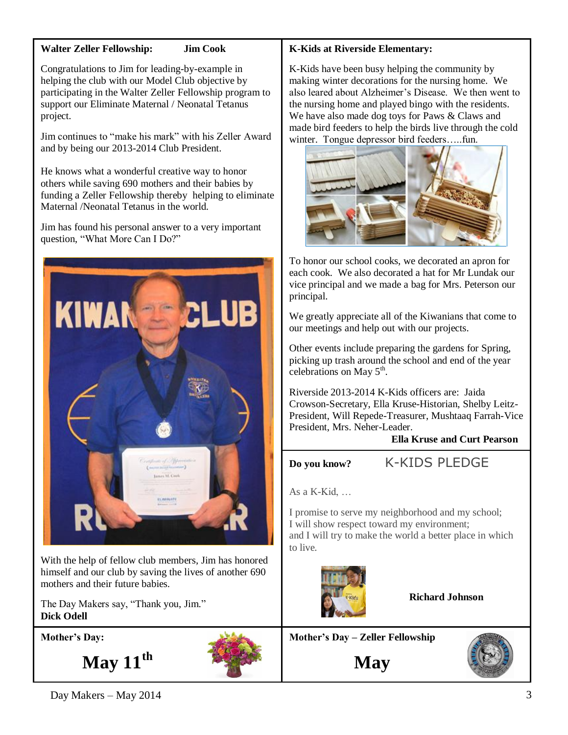# **Walter Zeller Fellowship: Jim Cook**

Congratulations to Jim for leading-by-example in helping the club with our Model Club objective by participating in the Walter Zeller Fellowship program to support our Eliminate Maternal / Neonatal Tetanus project.

Jim continues to "make his mark" with his Zeller Award and by being our 2013-2014 Club President.

He knows what a wonderful creative way to honor others while saving 690 mothers and their babies by funding a Zeller Fellowship thereby helping to eliminate Maternal /Neonatal Tetanus in the world.

Jim has found his personal answer to a very important question, "What More Can I Do?"



With the help of fellow club members, Jim has honored himself and our club by saving the lives of another 690 mothers and their future babies.

The Day Makers say, "Thank you, Jim." **Dick Odell**

**Mother's Day:**

**May 11th**



# **K-Kids at Riverside Elementary:**

K-Kids have been busy helping the community by making winter decorations for the nursing home. We also leared about Alzheimer's Disease. We then went to the nursing home and played bingo with the residents. We have also made dog toys for Paws & Claws and made bird feeders to help the birds live through the cold winter. Tongue depressor bird feeders…..fun.



To honor our school cooks, we decorated an apron for each cook. We also decorated a hat for Mr Lundak our vice principal and we made a bag for Mrs. Peterson our principal.

We greatly appreciate all of the Kiwanians that come to our meetings and help out with our projects.

Other events include preparing the gardens for Spring, picking up trash around the school and end of the year celebrations on May  $5<sup>th</sup>$ .

Riverside 2013-2014 K-Kids officers are: Jaida Crowson-Secretary, Ella Kruse-Historian, Shelby Leitz-President, Will Repede-Treasurer, Mushtaaq Farrah-Vice President, Mrs. Neher-Leader.

**Ella Kruse and Curt Pearson**

**Do you know?** K-KIDS PLEDGE

As a K-Kid, …

I promise to serve my neighborhood and my school; I will show respect toward my environment; and I will try to make the world a better place in which to live.



**Richard Johnson**

**Mother's Day – Zeller Fellowship**

**May**